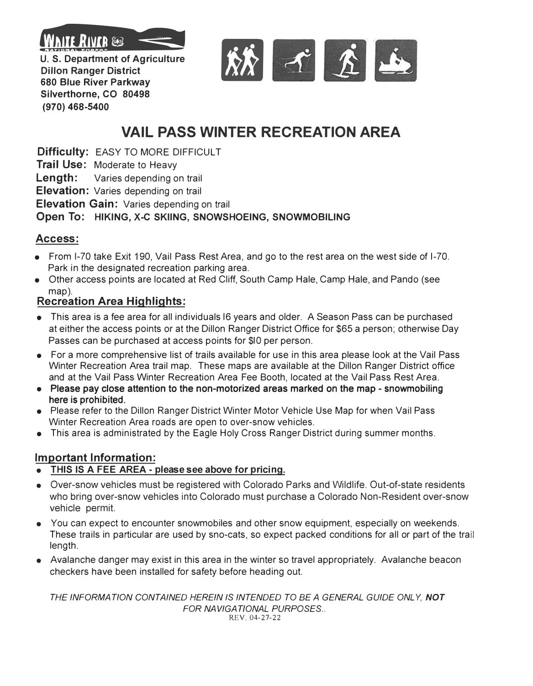

**Dillon Ranger District 680 Blue River Parkway Silverthorne, CO 80498** 

**(970) 468-5400**

 $\frac{1}{N}$ 

# **VAIL PASS WINTER RECREATION AREA**

**Difficulty:** EASY TO MORE DIFFICULT

**Trail Use:** Moderate to Heavy

**Length:** Varies depending on trail

**Elevation:** Varies depending on trail

**Elevation Gain:** Varies depending on trail

#### **Open To: HIKING, X-C SKIING, SNOWSHOEING, SNOWMOBILING**

## **Access:**

- From 1-70 take Exit 190, Vail Pass Rest Area, and go to the rest area on the west side of 1-70. Park in the designated recreation parking area.
- Other access points are located at Red Cliff, South Camp Hale, Camp Hale, and Pando (see map).

### **Recreation Area Highlights:**

- This area is a fee area for all individuals 16 years and older. A Season Pass can be purchased at either the access points or at the Dillon Ranger District Office for \$65 a person; otherwise Day Passes can be purchased at access points for \$10 per person.
- For a more comprehensive list of trails available for use in this area please look at the Vail Pass Winter Recreation Area trail map. These maps are available at the Dillon Ranger District office and at the Vail Pass Winter Recreation Area Fee Booth, located at the Vail Pass Rest Area.
- Please pay close attention to the non-motori**z**ed areas marked on the map snowmobiling here is prohibited.
- Please refer to the Dillon Ranger District Winter Motor Vehicle Use Map for when Vail Pass Winter Recreation Area roads are open to over-snow vehicles.
- This area is administrated by the Eagle Holy Cross Ranger District during summer months.

#### **Important Information:**

- **• THIS IS A FEE AREA please see above for pricing.**
- **•** Over-snow vehicles must be registered with Colorado Parks and Wildlife. Out-of-state residents who bring over-snow vehicles into Colorado must purchase a Colorado Non-Resident over-snow vehicle permit.
- **•** You can expect to encounter snowmobiles and other snow equipment, especially on weekends. These trails in particular are used by sno-cats, so expect packed conditions for all or part of the trail length.
- **•** Avalanche danger may exist in this area in the winter so travel appropriately. Avalanche beacon checkers have been installed for safety before heading out.

*THE INFORMATION CONTAINED HEREIN* IS *INTENDED TO BE A GENERAL GUIDE ONLY, NOT* **FOR NAVIGATIONAL PURPOSES...** REV. 04-27-22